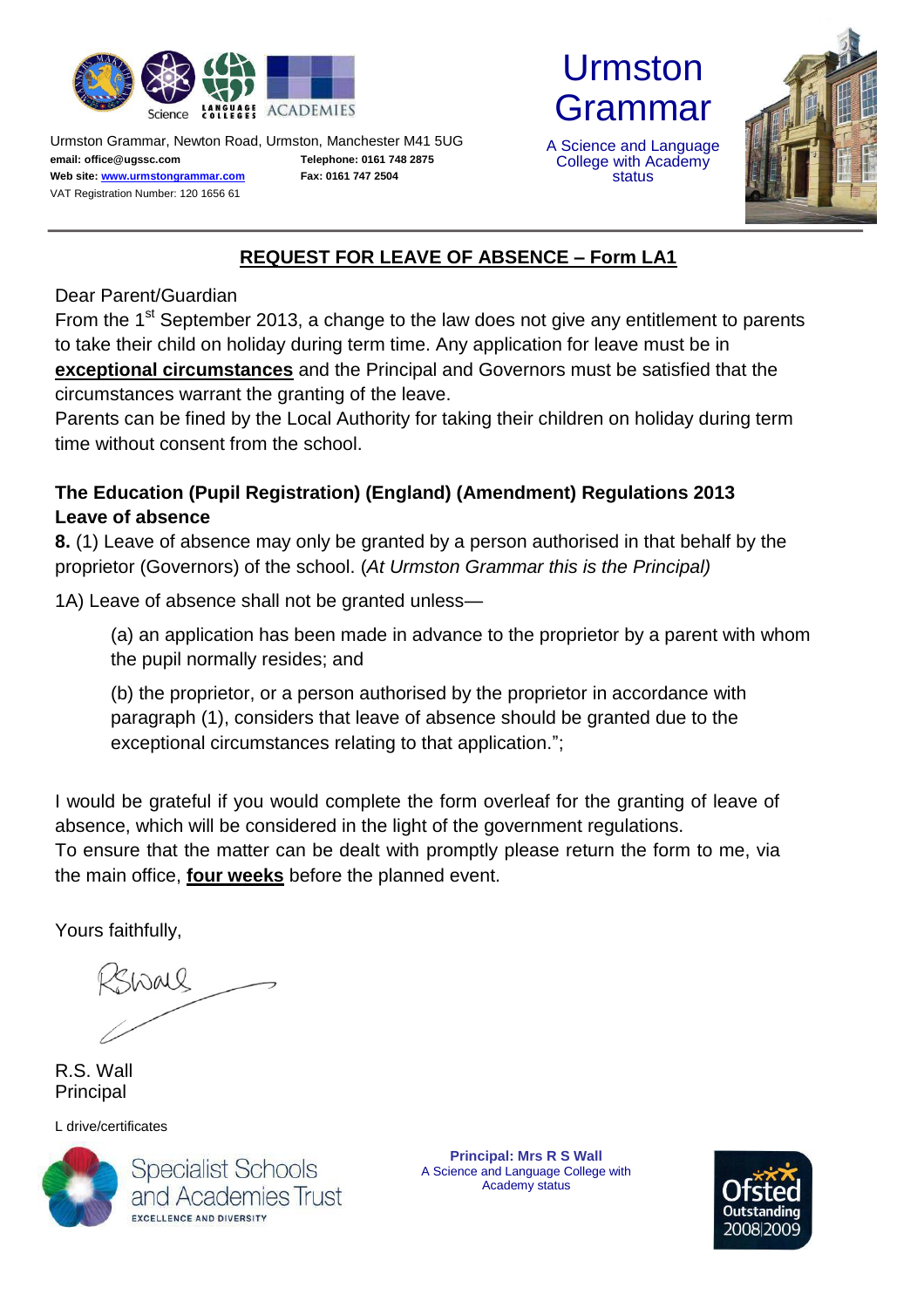

Urmston Grammar, Newton Road, Urmston, Manchester M41 5UG **email: office@ugssc.com Web site[: www.urmstongrammar.com](http://www.urmstongrammar.com/)** VAT Registration Number: 120 1656 61

**Telephone: 0161 748 2875 Fax: 0161 747 2504**



A Science and Language College with Academy status



## **REQUEST FOR LEAVE OF ABSENCE – Form LA1**

Dear Parent/Guardian

From the  $1<sup>st</sup>$  September 2013, a change to the law does not give any entitlement to parents to take their child on holiday during term time. Any application for leave must be in **exceptional circumstances** and the Principal and Governors must be satisfied that the circumstances warrant the granting of the leave.

Parents can be fined by the Local Authority for taking their children on holiday during term time without consent from the school.

## **The Education (Pupil Registration) (England) (Amendment) Regulations 2013 Leave of absence**

**8.** (1) Leave of absence may only be granted by a person authorised in that behalf by the proprietor (Governors) of the school. (*At Urmston Grammar this is the Principal)*

1A) Leave of absence shall not be granted unless—

(a) an application has been made in advance to the proprietor by a parent with whom the pupil normally resides; and

(b) the proprietor, or a person authorised by the proprietor in accordance with paragraph (1), considers that leave of absence should be granted due to the exceptional circumstances relating to that application.";

I would be grateful if you would complete the form overleaf for the granting of leave of absence, which will be considered in the light of the government regulations. To ensure that the matter can be dealt with promptly please return the form to me, via the main office, **four weeks** before the planned event.

Yours faithfully,

SWALL

R.S. Wall Principal

L drive/certificates



**Specialist Schools** and Academies Trust **EXCELLENCE AND DIVERSITY** 

**Principal: Mrs R S Wall**  A Science and Language College with Academy status